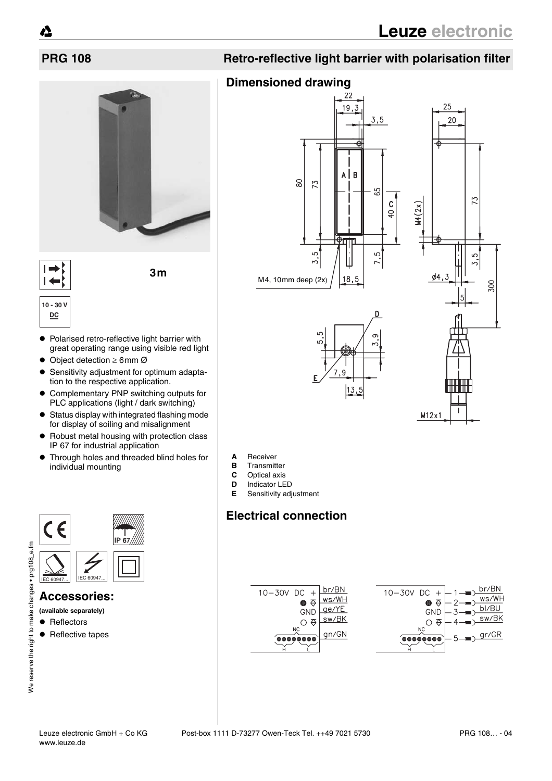

 $\blacksquare$ 

**3m**

# **10 - 30 V DC**

- Polarised retro-reflective light barrier with great operating range using visible red light
- $\bullet$  Object detection  $\geq 6$ mm Ø
- Sensitivity adjustment for optimum adaptation to the respective application.
- Complementary PNP switching outputs for PLC applications (light / dark switching)
- $\bullet$  Status display with integrated flashing mode for display of soiling and misalignment
- Robust metal housing with protection class IP 67 for industrial application
- **•** Through holes and threaded blind holes for individual mounting



## **Accessories:**

**(available separately)**

- Reflectors
- $\bullet$  Reflective tapes

# **Dimensioned drawing**



- **A** Receiver
- **B** Transmitter<br>**C** Optical axis
- **C** Optical axis<br>**D** Indicator I F
- **Indicator LED**
- **E** Sensitivity adjustment

# **Electrical connection**